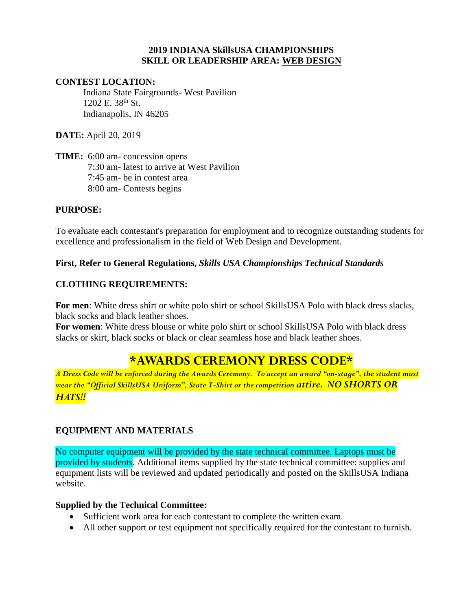#### **2019 INDIANA SkillsUSA CHAMPIONSHIPS SKILL OR LEADERSHIP AREA: WEB DESIGN**

#### **CONTEST LOCATION:**

Indiana State Fairgrounds- West Pavilion 1202 E. 38<sup>th</sup> St. Indianapolis, IN 46205

**DATE:** April 20, 2019

**TIME:** 6:00 am- concession opens 7:30 am- latest to arrive at West Pavilion 7:45 am- be in contest area 8:00 am- Contests begins

#### **PURPOSE:**

To evaluate each contestant's preparation for employment and to recognize outstanding students for excellence and professionalism in the field of Web Design and Development.

## **First, Refer to General Regulations,** *Skills USA Championships Technical Standards*

## **CLOTHING REQUIREMENTS:**

**For men**: White dress shirt or white polo shirt or school SkillsUSA Polo with black dress slacks, black socks and black leather shoes.

**For women**: White dress blouse or white polo shirt or school SkillsUSA Polo with black dress slacks or skirt, black socks or black or clear seamless hose and black leather shoes.

# **\*AWARDS CEREMONY DRESS CODE\***

*A Dress Code will be enforced during the Awards Ceremony. To accept an award "on-stage", the student must wear the "Official SkillsUSA Uniform", State T-Shirt or the competition attire. NO SHORTS OR HATS!!*

## **EQUIPMENT AND MATERIALS**

No computer equipment will be provided by the state technical committee. Laptops must be provided by students. Additional items supplied by the state technical committee: supplies and equipment lists will be reviewed and updated periodically and posted on the SkillsUSA Indiana website.

## **Supplied by the Technical Committee:**

- Sufficient work area for each contestant to complete the written exam.
- All other support or test equipment not specifically required for the contestant to furnish.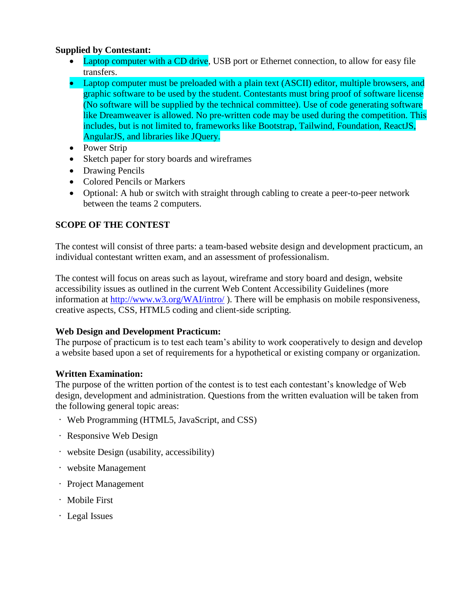# **Supplied by Contestant:**

- Laptop computer with a CD drive, USB port or Ethernet connection, to allow for easy file transfers.
- Laptop computer must be preloaded with a plain text (ASCII) editor, multiple browsers, and graphic software to be used by the student. Contestants must bring proof of software license (No software will be supplied by the technical committee). Use of code generating software like Dreamweaver is allowed. No pre-written code may be used during the competition. This includes, but is not limited to, frameworks like Bootstrap, Tailwind, Foundation, ReactJS, AngularJS, and libraries like JQuery.
- Power Strip
- Sketch paper for story boards and wireframes
- Drawing Pencils
- Colored Pencils or Markers
- Optional: A hub or switch with straight through cabling to create a peer-to-peer network between the teams 2 computers.

# **SCOPE OF THE CONTEST**

The contest will consist of three parts: a team-based website design and development practicum, an individual contestant written exam, and an assessment of professionalism.

The contest will focus on areas such as layout, wireframe and story board and design, website accessibility issues as outlined in the current Web Content Accessibility Guidelines (more information at<http://www.w3.org/WAI/intro/>). There will be emphasis on mobile responsiveness, creative aspects, CSS, HTML5 coding and client-side scripting.

# **Web Design and Development Practicum:**

The purpose of practicum is to test each team's ability to work cooperatively to design and develop a website based upon a set of requirements for a hypothetical or existing company or organization.

# **Written Examination:**

The purpose of the written portion of the contest is to test each contestant's knowledge of Web design, development and administration. Questions from the written evaluation will be taken from the following general topic areas:

- Web Programming (HTML5, JavaScript, and CSS)
- Responsive Web Design
- website Design (usability, accessibility)
- website Management
- Project Management
- Mobile First
- Legal Issues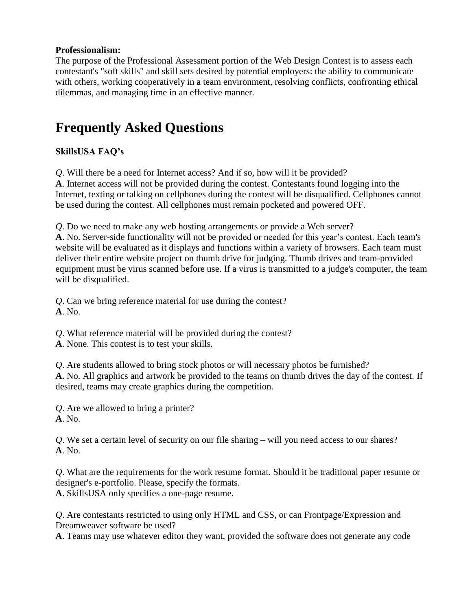# **Professionalism:**

The purpose of the Professional Assessment portion of the Web Design Contest is to assess each contestant's "soft skills" and skill sets desired by potential employers: the ability to communicate with others, working cooperatively in a team environment, resolving conflicts, confronting ethical dilemmas, and managing time in an effective manner.

# **Frequently Asked Questions**

# **SkillsUSA FAQ's**

*Q*. Will there be a need for Internet access? And if so, how will it be provided?

**A**. Internet access will not be provided during the contest. Contestants found logging into the Internet, texting or talking on cellphones during the contest will be disqualified. Cellphones cannot be used during the contest. All cellphones must remain pocketed and powered OFF.

*Q*. Do we need to make any web hosting arrangements or provide a Web server?

**A**. No. Server-side functionality will not be provided or needed for this year's contest. Each team's website will be evaluated as it displays and functions within a variety of browsers. Each team must deliver their entire website project on thumb drive for judging. Thumb drives and team-provided equipment must be virus scanned before use. If a virus is transmitted to a judge's computer, the team will be disqualified.

*Q*. Can we bring reference material for use during the contest? **A**. No.

*Q*. What reference material will be provided during the contest?

**A**. None. This contest is to test your skills.

*Q*. Are students allowed to bring stock photos or will necessary photos be furnished? **A**. No. All graphics and artwork be provided to the teams on thumb drives the day of the contest. If desired, teams may create graphics during the competition.

*Q*. Are we allowed to bring a printer? **A**. No.

*Q*. We set a certain level of security on our file sharing – will you need access to our shares? **A**. No.

*Q*. What are the requirements for the work resume format. Should it be traditional paper resume or designer's e-portfolio. Please, specify the formats. **A**. SkillsUSA only specifies a one-page resume.

*Q*. Are contestants restricted to using only HTML and CSS, or can Frontpage/Expression and Dreamweaver software be used?

**A**. Teams may use whatever editor they want, provided the software does not generate any code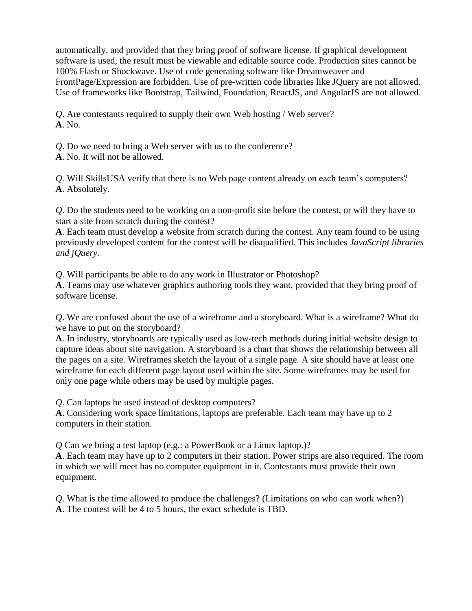automatically, and provided that they bring proof of software license. If graphical development software is used, the result must be viewable and editable source code. Production sites cannot be 100% Flash or Shockwave. Use of code generating software like Dreamweaver and FrontPage/Expression are forbidden. Use of pre-written code libraries like JQuery are not allowed. Use of frameworks like Bootstrap, Tailwind, Foundation, ReactJS, and AngularJS are not allowed.

*Q*. Are contestants required to supply their own Web hosting / Web server? **A**. No.

*Q*. Do we need to bring a Web server with us to the conference?

**A**. No. It will not be allowed.

*Q.* Will SkillsUSA verify that there is no Web page content already on each team's computers? **A**. Absolutely.

*Q*. Do the students need to be working on a non-profit site before the contest, or will they have to start a site from scratch during the contest?

**A**. Each team must develop a website from scratch during the contest. Any team found to be using previously developed content for the contest will be disqualified. This includes *JavaScript libraries and jQuery.*

*Q*. Will participants be able to do any work in Illustrator or Photoshop?

**A**. Teams may use whatever graphics authoring tools they want, provided that they bring proof of software license.

*Q*. We are confused about the use of a wireframe and a storyboard. What is a wireframe? What do we have to put on the storyboard?

**A**. In industry, storyboards are typically used as low-tech methods during initial website design to capture ideas about site navigation. A storyboard is a chart that shows the relationship between all the pages on a site. Wireframes sketch the layout of a single page. A site should have at least one wireframe for each different page layout used within the site. Some wireframes may be used for only one page while others may be used by multiple pages.

*Q*. Can laptops be used instead of desktop computers?

**A**. Considering work space limitations, laptops are preferable. Each team may have up to 2 computers in their station.

*Q* Can we bring a test laptop (e.g.: a PowerBook or a Linux laptop.)?

**A**. Each team may have up to 2 computers in their station. Power strips are also required. The room in which we will meet has no computer equipment in it. Contestants must provide their own equipment.

*Q*. What is the time allowed to produce the challenges? (Limitations on who can work when?) **A**. The contest will be 4 to 5 hours, the exact schedule is TBD.